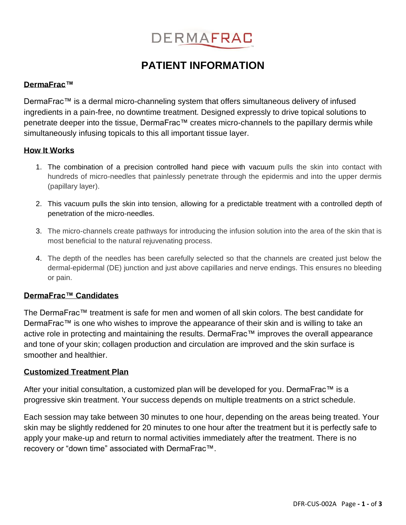

# **PATIENT INFORMATION**

## **DermaFrac™**

DermaFrac™ is a dermal micro-channeling system that offers simultaneous delivery of infused ingredients in a pain-free, no downtime treatment. Designed expressly to drive topical solutions to penetrate deeper into the tissue, DermaFrac™ creates micro-channels to the papillary dermis while simultaneously infusing topicals to this all important tissue layer.

#### **How It Works**

- 1. The combination of a precision controlled hand piece with vacuum pulls the skin into contact with hundreds of micro-needles that painlessly penetrate through the epidermis and into the upper dermis (papillary layer).
- 2. This vacuum pulls the skin into tension, allowing for a predictable treatment with a controlled depth of penetration of the micro-needles.
- 3. The micro-channels create pathways for introducing the infusion solution into the area of the skin that is most beneficial to the natural rejuvenating process.
- 4. The depth of the needles has been carefully selected so that the channels are created just below the dermal-epidermal (DE) junction and just above capillaries and nerve endings. This ensures no bleeding or pain.

## **DermaFrac™ Candidates**

The DermaFrac™ treatment is safe for men and women of all skin colors. The best candidate for DermaFrac™ is one who wishes to improve the appearance of their skin and is willing to take an active role in protecting and maintaining the results. DermaFrac™ improves the overall appearance and tone of your skin; collagen production and circulation are improved and the skin surface is smoother and healthier.

#### **Customized Treatment Plan**

After your initial consultation, a customized plan will be developed for you. DermaFrac™ is a progressive skin treatment. Your success depends on multiple treatments on a strict schedule.

Each session may take between 30 minutes to one hour, depending on the areas being treated. Your skin may be slightly reddened for 20 minutes to one hour after the treatment but it is perfectly safe to apply your make-up and return to normal activities immediately after the treatment. There is no recovery or "down time" associated with DermaFrac™.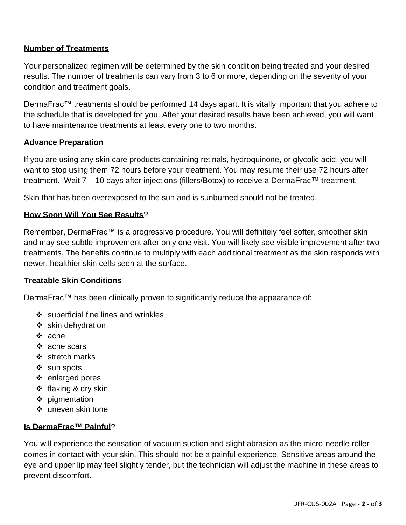# **Number of Treatments**

Your personalized regimen will be determined by the skin condition being treated and your desired results. The number of treatments can vary from 3 to 6 or more, depending on the severity of your condition and treatment goals.

DermaFrac™ treatments should be performed 14 days apart. It is vitally important that you adhere to the schedule that is developed for you. After your desired results have been achieved, you will want to have maintenance treatments at least every one to two months.

## **Advance Preparation**

If you are using any skin care products containing retinals, hydroquinone, or glycolic acid, you will want to stop using them 72 hours before your treatment. You may resume their use 72 hours after treatment. Wait 7 – 10 days after injections (fillers/Botox) to receive a DermaFrac™ treatment.

Skin that has been overexposed to the sun and is sunburned should not be treated.

# **How Soon Will You See Results**?

Remember, DermaFrac™ is a progressive procedure. You will definitely feel softer, smoother skin and may see subtle improvement after only one visit. You will likely see visible improvement after two treatments. The benefits continue to multiply with each additional treatment as the skin responds with newer, healthier skin cells seen at the surface.

## **Treatable Skin Conditions**

DermaFrac™ has been clinically proven to significantly reduce the appearance of:

- ❖ superficial fine lines and wrinkles
- ❖ skin dehydration
- ❖ acne
- ❖ acne scars
- ❖ stretch marks
- ❖ sun spots
- ❖ enlarged pores
- ❖ flaking & dry skin
- ❖ pigmentation
- ❖ uneven skin tone

## **Is DermaFrac™ Painful**?

You will experience the sensation of vacuum suction and slight abrasion as the micro-needle roller comes in contact with your skin. This should not be a painful experience. Sensitive areas around the eye and upper lip may feel slightly tender, but the technician will adjust the machine in these areas to prevent discomfort.